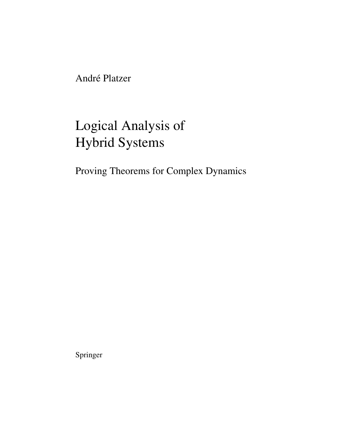André Platzer

# Logical Analysis of Hybrid Systems

Proving Theorems for Complex Dynamics

Springer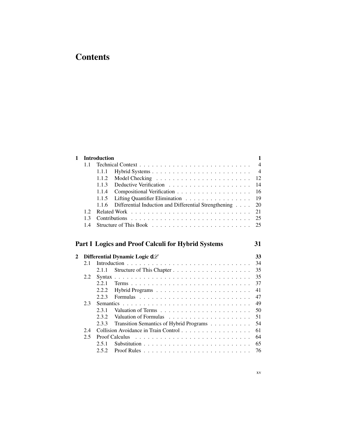## **Contents**

| $\mathbf{1}$ |      | <b>Introduction</b><br>1                                       |                |  |
|--------------|------|----------------------------------------------------------------|----------------|--|
|              | 1.1  |                                                                | $\overline{4}$ |  |
|              |      | 1.1.1                                                          | $\overline{4}$ |  |
|              |      | 1.1.2                                                          | 12             |  |
|              |      | 1.1.3                                                          | 14             |  |
|              |      | 1.1.4                                                          | 16             |  |
|              |      | 1.1.5<br>Lifting Quantifier Elimination                        | 19             |  |
|              |      | Differential Induction and Differential Strengthening<br>1.1.6 | 20             |  |
|              | 1.2. |                                                                | 21             |  |
|              | 1.3  | Contributions                                                  | 25             |  |
|              | 1.4  |                                                                | 25             |  |
|              |      |                                                                |                |  |
|              |      |                                                                |                |  |
|              |      |                                                                |                |  |
|              |      | <b>Part I Logics and Proof Calculi for Hybrid Systems</b>      | 31             |  |
| 2            |      |                                                                | 33             |  |
|              | 2.1  | Differential Dynamic Logic d $\mathscr L$                      | 34             |  |
|              |      | 2.1.1                                                          | 35             |  |
|              | 2.2  |                                                                | 35             |  |
|              |      | 2.2.1                                                          | 37             |  |
|              |      | 2.2.2                                                          | 41             |  |
|              |      | 2.2.3                                                          | 47             |  |
|              | 2.3  | Semantics .                                                    | 49             |  |
|              |      | 2.3.1                                                          | 50             |  |
|              |      | 2.3.2                                                          | 51             |  |
|              |      | 2.3.3<br>Transition Semantics of Hybrid Programs               | 54             |  |
|              | 2.4  | Collision Avoidance in Train Control                           | 61             |  |
|              | 2.5  | <b>Proof Calculus</b>                                          | 64             |  |
|              |      | 2.5.1                                                          | 65             |  |
|              |      | 2.5.2                                                          | 76             |  |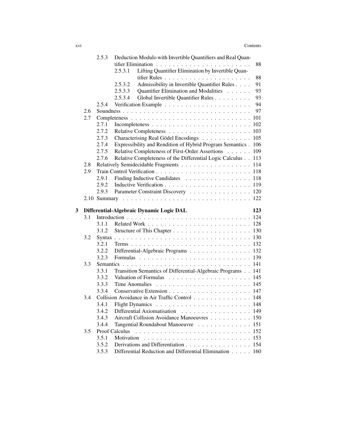|   |     | 2.5.3          | Deduction Modulo with Invertible Quantifiers and Real Quan-                            |     |
|---|-----|----------------|----------------------------------------------------------------------------------------|-----|
|   |     |                |                                                                                        | 88  |
|   |     |                | Lifting Quantifier Elimination by Invertible Quan-<br>2.5.3.1                          |     |
|   |     |                |                                                                                        | 88  |
|   |     |                | Admissibility in Invertible Quantifier Rules<br>2.5.3.2                                | 91  |
|   |     |                | Quantifier Elimination and Modalities<br>2.5.3.3                                       | 93  |
|   |     |                | 2.5.3.4<br>Global Invertible Quantifier Rules                                          | 93  |
|   |     | 2.5.4          |                                                                                        | 94  |
|   | 2.6 |                |                                                                                        | 97  |
|   | 2.7 |                |                                                                                        | 101 |
|   |     | 2.7.1          |                                                                                        | 102 |
|   |     | 2.7.2          |                                                                                        | 103 |
|   |     | 2.7.3          | Characterising Real Gödel Encodings                                                    | 105 |
|   |     | 2.7.4          | Expressibility and Rendition of Hybrid Program Semantics.                              | 106 |
|   |     | 2.7.5          | Relative Completeness of First-Order Assertions                                        | 109 |
|   |     | 2.7.6          | Relative Completeness of the Differential Logic Calculus                               | 113 |
|   | 2.8 |                |                                                                                        | 114 |
|   | 2.9 |                |                                                                                        |     |
|   |     | 2.9.1          | Finding Inductive Candidates 118                                                       |     |
|   |     | 2.9.2          |                                                                                        |     |
|   |     | 2.9.3          | Parameter Constraint Discovery 120                                                     |     |
|   |     |                |                                                                                        |     |
|   |     |                |                                                                                        |     |
| 3 |     |                | Differential-Algebraic Dynamic Logic DAL                                               | 123 |
|   | 3.1 |                |                                                                                        |     |
|   |     | 3.1.1          |                                                                                        |     |
|   |     | 3.1.2          |                                                                                        |     |
|   | 3.2 |                |                                                                                        |     |
|   |     | 3.2.1          |                                                                                        |     |
|   |     | 3.2.2          | Differential-Algebraic Programs 132                                                    |     |
|   |     | 3.2.3          |                                                                                        |     |
|   | 3.3 |                |                                                                                        |     |
|   |     | 3.3.1          | Transition Semantics of Differential-Algebraic Programs 141                            |     |
|   |     | 3.3.2          |                                                                                        |     |
|   |     | 3.3.3          | Time Anomalies $\ldots \ldots \ldots \ldots \ldots \ldots \ldots \ldots 145$           |     |
|   |     | 3.3.4          |                                                                                        |     |
|   | 3.4 |                | Collision Avoidance in Air Traffic Control 148                                         |     |
|   |     |                |                                                                                        | 148 |
|   |     | 3.4.2          | Differential Axiomatisation 149                                                        |     |
|   |     | 3.4.3          | Aircraft Collision Avoidance Manoeuvres 150                                            |     |
|   |     | 3.4.4          | Tangential Roundabout Manoeuvre 151                                                    |     |
|   | 3.5 |                | Proof Calculus                                                                         |     |
|   |     | 3.5.1          | Motivation                                                                             |     |
|   |     | 3.5.2<br>3.5.3 | Derivations and Differentiation<br>Differential Reduction and Differential Elimination | 154 |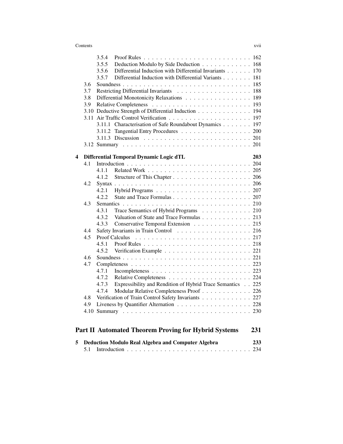### **Contents** xvii

|   |            | 3.5.4 |                                                             |     |
|---|------------|-------|-------------------------------------------------------------|-----|
|   |            | 3.5.5 | Deduction Modulo by Side Deduction 168                      |     |
|   |            | 3.5.6 | Differential Induction with Differential Invariants 170     |     |
|   |            | 3.5.7 | Differential Induction with Differential Variants 181       |     |
|   | 3.6        |       |                                                             |     |
|   | 3.7        |       | Restricting Differential Invariants 188                     |     |
|   | 3.8        |       | Differential Monotonicity Relaxations 189                   |     |
|   | 3.9        |       |                                                             |     |
|   |            |       | 3.10 Deductive Strength of Differential Induction 194       |     |
|   |            |       |                                                             |     |
|   |            |       | 3.11.1 Characterisation of Safe Roundabout Dynamics 197     |     |
|   |            |       | 3.11.2 Tangential Entry Procedures 200                      |     |
|   |            |       |                                                             |     |
|   |            |       |                                                             |     |
|   |            |       |                                                             |     |
| 4 |            |       | Differential Temporal Dynamic Logic dTL                     | 203 |
|   | 4.1        |       |                                                             |     |
|   |            | 4.1.1 |                                                             |     |
|   |            | 4.1.2 |                                                             |     |
|   | 4.2        |       |                                                             |     |
|   |            | 4.2.1 |                                                             |     |
|   |            | 4.2.2 |                                                             |     |
|   | 4.3        |       |                                                             |     |
|   |            | 4.3.1 | Trace Semantics of Hybrid Programs 210                      |     |
|   |            | 4.3.2 | Valuation of State and Trace Formulas 213                   |     |
|   |            | 4.3.3 | Conservative Temporal Extension 215                         |     |
|   | 4.4        |       | Safety Invariants in Train Control 216                      |     |
|   | 4.5        |       | <b>Proof Calculus</b>                                       |     |
|   |            | 4.5.1 |                                                             |     |
|   |            | 4.5.2 |                                                             |     |
|   | 4.6<br>4.7 |       |                                                             |     |
|   |            |       |                                                             |     |
|   |            | 4.7.1 |                                                             |     |
|   |            | 4.7.2 |                                                             |     |
|   |            | 4.7.3 | Expressibility and Rendition of Hybrid Trace Semantics 225  |     |
|   |            | 4.7.4 | Modular Relative Completeness Proof 226                     |     |
|   | 4.8        |       | Verification of Train Control Safety Invariants 227         |     |
|   | 4.9        |       | Liveness by Quantifier Alternation 228                      |     |
|   |            |       |                                                             |     |
|   |            |       |                                                             |     |
|   |            |       | <b>Part II Automated Theorem Proving for Hybrid Systems</b> | 231 |

| 5 Deduction Modulo Real Algebra and Computer Algebra | 233. |
|------------------------------------------------------|------|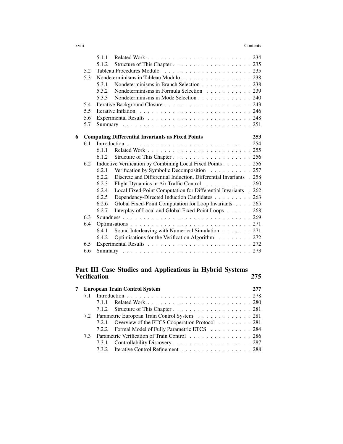### xviii Contents

|   |     | 5.1.1 |                                                                    |     |
|---|-----|-------|--------------------------------------------------------------------|-----|
|   |     | 5.1.2 |                                                                    |     |
|   | 5.2 |       |                                                                    |     |
|   | 5.3 |       | Nondeterminisms in Tableau Modulo 238                              |     |
|   |     | 5.3.1 | Nondeterminisms in Branch Selection 238                            |     |
|   |     | 5.3.2 | Nondeterminisms in Formula Selection 239                           |     |
|   |     |       | 5.3.3 Nondeterminisms in Mode Selection 240                        |     |
|   | 5.4 |       |                                                                    |     |
|   | 5.5 |       |                                                                    |     |
|   | 5.6 |       |                                                                    |     |
|   | 5.7 |       |                                                                    |     |
|   |     |       |                                                                    |     |
| 6 |     |       | <b>Computing Differential Invariants as Fixed Points</b>           | 253 |
|   | 6.1 |       |                                                                    |     |
|   |     | 6.1.1 |                                                                    |     |
|   |     | 6.1.2 |                                                                    |     |
|   | 6.2 |       | Inductive Verification by Combining Local Fixed Points 256         |     |
|   |     | 6.2.1 | Verification by Symbolic Decomposition 257                         |     |
|   |     | 6.2.2 | Discrete and Differential Induction, Differential Invariants . 258 |     |
|   |     | 6.2.3 | Flight Dynamics in Air Traffic Control 260                         |     |
|   |     | 6.2.4 | Local Fixed-Point Computation for Differential Invariants . 262    |     |
|   |     | 6.2.5 | Dependency-Directed Induction Candidates 263                       |     |
|   |     | 6.2.6 | Global Fixed-Point Computation for Loop Invariants 265             |     |
|   |     | 6.2.7 | Interplay of Local and Global Fixed-Point Loops                    | 268 |
|   | 6.3 |       |                                                                    |     |
|   | 6.4 |       |                                                                    |     |
|   |     | 6.4.1 | Sound Interleaving with Numerical Simulation 271                   |     |
|   |     | 6.4.2 | Optimisations for the Verification Algorithm 272                   |     |
|   | 6.5 |       |                                                                    |     |
|   | 6.6 |       |                                                                    |     |
|   |     |       |                                                                    |     |

## Part III Case Studies and Applications in Hybrid Systems Verification 275

| 7 |    | <b>European Train Control System</b>                |  |
|---|----|-----------------------------------------------------|--|
|   |    |                                                     |  |
|   |    |                                                     |  |
|   |    |                                                     |  |
|   |    | 7.2 Parametric European Train Control System 281    |  |
|   |    | 7.2.1 Overview of the ETCS Cooperation Protocol 281 |  |
|   |    | 7.2.2 Formal Model of Fully Parametric ETCS 284     |  |
|   | 73 | Parametric Verification of Train Control 286        |  |
|   |    |                                                     |  |
|   |    | 7.3.2 Iterative Control Refinement 288              |  |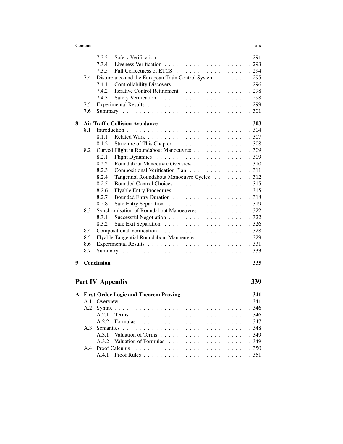| X1X |
|-----|
|     |

|   |     | 7.3.3                                                 |     |
|---|-----|-------------------------------------------------------|-----|
|   |     | 7.3.4                                                 |     |
|   |     | 7.3.5                                                 |     |
|   | 7.4 | Disturbance and the European Train Control System 295 |     |
|   |     | 7.4.1                                                 |     |
|   |     | 7.4.2<br>Iterative Control Refinement 298             |     |
|   |     | 7.4.3                                                 |     |
|   | 7.5 |                                                       |     |
|   | 7.6 |                                                       |     |
| 8 |     | <b>Air Traffic Collision Avoidance</b>                | 303 |
|   | 8.1 |                                                       |     |
|   |     | 8.1.1                                                 |     |
|   |     | 8.1.2                                                 |     |
|   | 8.2 | Curved Flight in Roundabout Manoeuvres 309            |     |
|   |     | 8.2.1                                                 |     |
|   |     | 8.2.2<br>Roundabout Manoeuvre Overview 310            |     |
|   |     | 8.2.3<br>Compositional Verification Plan 311          |     |
|   |     | 8.2.4<br>Tangential Roundabout Manoeuvre Cycles 312   |     |
|   |     | Bounded Control Choices 315<br>8.2.5                  |     |
|   |     | 8.2.6                                                 |     |
|   |     | 8.2.7                                                 |     |
|   |     | 8.2.8                                                 |     |
|   | 8.3 | Synchronisation of Roundabout Manoeuvres 322          |     |
|   |     | 8.3.1                                                 |     |
|   |     | 8.3.2                                                 |     |
|   | 8.4 |                                                       |     |
|   | 8.5 | Flyable Tangential Roundabout Manoeuvre 329           |     |
|   | 8.6 |                                                       |     |
|   | 8.7 |                                                       |     |
| 9 |     | <b>Conclusion</b>                                     | 335 |
|   |     | Part IV Appendix                                      | 339 |
|   |     | A First-Order Logic and Theorem Proving               | 341 |
|   | A.1 | Overview                                              | 341 |

A.2 Syntax . . . . . . . . . . . . . . . . . . . . . . . . . . . . . . . . . 346 A.2.1 Terms . . . . . . . . . . . . . . . . . . . . . . . . . . . . . 346 A.2.2 Formulas . . . . . . . . . . . . . . . . . . . . . . . . . . . 347 A.3 Semantics . . . . . . . . . . . . . . . . . . . . . . . . . . . . . . . 348 A.3.1 Valuation of Terms . . . . . . . . . . . . . . . . . . . . . . 349 A.3.2 Valuation of Formulas . . . . . . . . . . . . . . . . . . . . 349 A.4 Proof Calculus . . . . . . . . . . . . . . . . . . . . . . . . . . . . 350 A.4.1 Proof Rules . . . . . . . . . . . . . . . . . . . . . . . . . . 351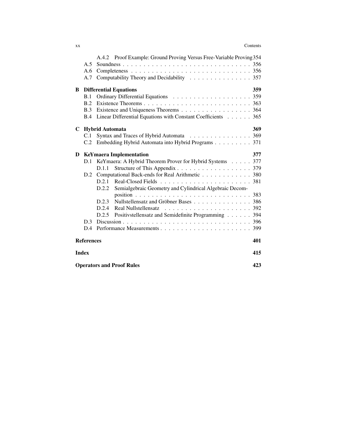### xx Contents

|   |                   | A.4.2 Proof Example: Ground Proving Versus Free-Variable Proving 354 |     |
|---|-------------------|----------------------------------------------------------------------|-----|
|   | A.5               |                                                                      |     |
|   | A.6               |                                                                      |     |
|   | A.7               | Computability Theory and Decidability 357                            |     |
| B |                   | <b>Differential Equations</b>                                        | 359 |
|   | B.1               |                                                                      |     |
|   | B.2               |                                                                      |     |
|   | B.3               | Existence and Uniqueness Theorems 364                                |     |
|   | B.4               | Linear Differential Equations with Constant Coefficients 365         |     |
| C |                   | <b>Hybrid Automata</b>                                               | 369 |
|   | C.1               | Syntax and Traces of Hybrid Automata 369                             |     |
|   | C.2               | Embedding Hybrid Automata into Hybrid Programs 371                   |     |
| D |                   | <b>KeYmaera Implementation</b>                                       | 377 |
|   | D.1               | KeYmaera: A Hybrid Theorem Prover for Hybrid Systems 377             |     |
|   |                   | D.1.1                                                                |     |
|   | D.2               | Computational Back-ends for Real Arithmetic 380                      |     |
|   |                   | D.2.1                                                                |     |
|   |                   | D.2.2<br>Semialgebraic Geometry and Cylindrical Algebraic Decom-     |     |
|   |                   |                                                                      |     |
|   |                   | Nullstellensatz and Gröbner Bases 386<br>D.2.3                       |     |
|   |                   | D.2.4                                                                |     |
|   |                   | Positivstellensatz and Semidefinite Programming 394<br>D.2.5         |     |
|   | D <sub>3</sub>    |                                                                      |     |
|   | D.4               |                                                                      |     |
|   | <b>References</b> |                                                                      | 401 |
|   | <b>Index</b>      |                                                                      | 415 |
|   |                   | <b>Operators and Proof Rules</b>                                     | 423 |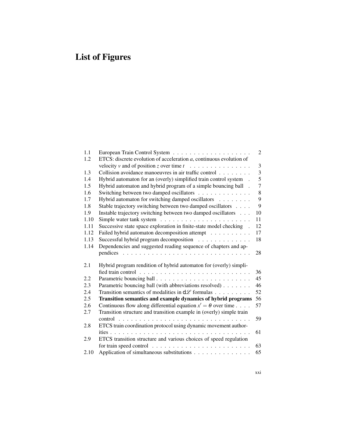# List of Figures

| 1.1  |                                                                           | 2              |
|------|---------------------------------------------------------------------------|----------------|
| 1.2  | ETCS: discrete evolution of acceleration $a$ , continuous evolution of    |                |
|      | velocity v and of position z over time $t \dots \dots \dots \dots \dots$  | 3              |
| 1.3  | Collision avoidance manoeuvres in air traffic control                     | $\overline{3}$ |
| 1.4  | Hybrid automaton for an (overly) simplified train control system          | 5              |
| 1.5  | Hybrid automaton and hybrid program of a simple bouncing ball.            | 7              |
| 1.6  | Switching between two damped oscillators                                  | 8              |
| 1.7  | Hybrid automaton for switching damped oscillators                         | 9              |
| 1.8  | Stable trajectory switching between two damped oscillators                | 9              |
| 1.9  | Instable trajectory switching between two damped oscillators              | 10             |
| 1.10 |                                                                           | 11             |
| 1.11 | Successive state space exploration in finite-state model checking .       | 12             |
| 1.12 | Failed hybrid automaton decomposition attempt                             | 17             |
| 1.13 | Successful hybrid program decomposition                                   | 18             |
| 1.14 | Dependencies and suggested reading sequence of chapters and ap-           |                |
|      |                                                                           | 28             |
| 2.1  | Hybrid program rendition of hybrid automaton for (overly) simpli-         |                |
|      |                                                                           | 36             |
| 2.2  |                                                                           | 45             |
| 2.3  | Parametric bouncing ball (with abbreviations resolved)                    | 46             |
| 2.4  | Transition semantics of modalities in $d\mathcal{L}$ formulas             | 52             |
| 2.5  | Transition semantics and example dynamics of hybrid programs              | 56             |
| 2.6  | Continuous flow along differential equation $x' = \theta$ over time       | 57             |
| 2.7  | Transition structure and transition example in (overly) simple train      |                |
|      | $control$ , , , , , , , , ,                                               | 59             |
| 2.8  | ETCS train coordination protocol using dynamic movement author-           |                |
|      |                                                                           | 61             |
| 2.9  | ETCS transition structure and various choices of speed regulation         |                |
|      | for train speed control $\dots \dots \dots \dots \dots \dots \dots \dots$ | 63             |
| 2.10 | Application of simultaneous substitutions                                 | 65             |
|      |                                                                           |                |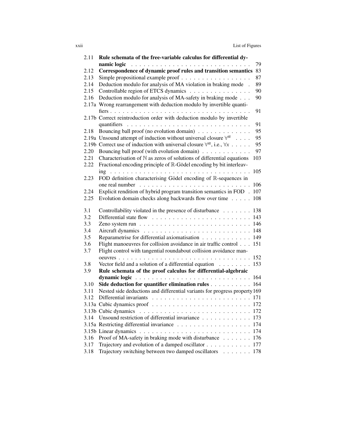| 2.11 | Rule schemata of the free-variable calculus for differential dy-                                     |     |
|------|------------------------------------------------------------------------------------------------------|-----|
|      | namic logic                                                                                          | 79  |
| 2.12 | Correspondence of dynamic proof rules and transition semantics                                       | 83  |
| 2.13 | Simple propositional example proof                                                                   | 87  |
| 2.14 | Deduction modulo for analysis of MA violation in braking mode                                        | 89  |
| 2.15 | Controllable region of ETCS dynamics                                                                 | 90  |
| 2.16 | Deduction modulo for analysis of MA-safety in braking mode                                           | 90  |
|      | 2.17a Wrong rearrangement with deduction modulo by invertible quanti-                                |     |
|      | fiers                                                                                                | 91  |
|      | 2.17b Correct reintroduction order with deduction modulo by invertible                               |     |
|      |                                                                                                      | 91  |
| 2.18 | Bouncing ball proof (no evolution domain)                                                            | 95  |
|      | 2.19a Unsound attempt of induction without universal closure $\forall^{\alpha} \dots$ .              | 95  |
|      | 2.19b Correct use of induction with universal closure $\forall^{\alpha}$ , i.e., $\forall x \dots$ . | 95  |
| 2.20 | Bouncing ball proof (with evolution domain)                                                          | 97  |
| 2.21 | Characterisation of $N$ as zeros of solutions of differential equations                              | 103 |
| 2.22 | Fractional encoding principle of R-Gödel encoding by bit interleav-                                  |     |
|      |                                                                                                      | 105 |
| 2.23 | FOD definition characterising Gödel encoding of R-sequences in                                       |     |
|      |                                                                                                      | 106 |
| 2.24 | Explicit rendition of hybrid program transition semantics in FOD.                                    | 107 |
| 2.25 | Evolution domain checks along backwards flow over time                                               | 108 |
|      |                                                                                                      |     |
| 3.1  | Controllability violated in the presence of disturbance $\dots \dots$                                | 138 |
| 3.2  |                                                                                                      | 143 |
| 3.3  |                                                                                                      | 146 |
| 3.4  |                                                                                                      | 148 |
| 3.5  | Reparametrise for differential axiomatisation                                                        | 149 |
| 3.6  | Flight manoeuvres for collision avoidance in air traffic control                                     | 151 |
| 3.7  | Flight control with tangential roundabout collision avoidance man-                                   |     |
|      |                                                                                                      | 152 |
| 3.8  | Vector field and a solution of a differential equation                                               | 153 |
| 3.9  | Rule schemata of the proof calculus for differential-algebraic                                       |     |
|      |                                                                                                      | 164 |
| 3.10 | Side deduction for quantifier elimination rules                                                      | 164 |
| 3.11 | Nested side deductions and differential variants for progress property 169                           |     |
| 3.12 |                                                                                                      |     |
|      |                                                                                                      |     |
|      | 3.13b Cubic dynamics                                                                                 |     |
| 3.14 | Unsound restriction of differential invariance                                                       | 173 |
|      |                                                                                                      | 174 |
|      |                                                                                                      | 174 |
| 3.16 | Proof of MA-safety in braking mode with disturbance                                                  | 176 |
| 3.17 | Trajectory and evolution of a damped oscillator                                                      | 177 |
| 3.18 | Trajectory switching between two damped oscillators                                                  | 178 |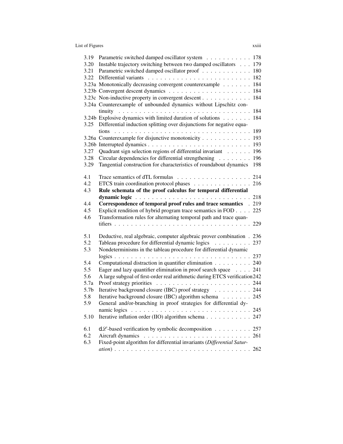## List of Figures xxiii

| 3.19             | Parametric switched damped oscillator system 178                            |     |
|------------------|-----------------------------------------------------------------------------|-----|
| 3.20             | Instable trajectory switching between two damped oscillators 179            |     |
| 3.21             | Parametric switched damped oscillator proof 180                             |     |
| 3.22             |                                                                             |     |
|                  | 3.23a Monotonically decreasing convergent counterexample 184                |     |
|                  |                                                                             | 184 |
|                  | 3.23c Non-inductive property in convergent descent                          | 184 |
|                  | 3.24a Counterexample of unbounded dynamics without Lipschitz con-           |     |
|                  |                                                                             |     |
|                  | 3.24b Explosive dynamics with limited duration of solutions 184             |     |
| 3.25             | Differential induction splitting over disjunctions for negative equa-       |     |
|                  |                                                                             |     |
|                  | 3.26a Counterexample for disjunctive monotonicity 193                       |     |
|                  |                                                                             |     |
| 3.27             | Quadrant sign selection regions of differential invariant 196               |     |
| 3.28             | Circular dependencies for differential strengthening                        | 196 |
| 3.29             | Tangential construction for characteristics of roundabout dynamics          | 198 |
|                  |                                                                             |     |
| 4.1              |                                                                             |     |
| 4.2              | ETCS train coordination protocol phases 216                                 |     |
| 4.3              | Rule schemata of the proof calculus for temporal differential               |     |
|                  |                                                                             | 218 |
| 4.4              | Correspondence of temporal proof rules and trace semantics . 219            |     |
| 4.5              | Explicit rendition of hybrid program trace semantics in FOD 225             |     |
| 4.6              | Transformation rules for alternating temporal path and trace quan-          |     |
|                  |                                                                             |     |
|                  |                                                                             |     |
| 5.1              | Deductive, real algebraic, computer algebraic prover combination . 236      |     |
| 5.2              | Tableau procedure for differential dynamic logics 237                       |     |
| 5.3              | Nondeterminisms in the tableau procedure for differential dynamic           |     |
|                  |                                                                             |     |
| 5.4              | Computational distraction in quantifier elimination 240                     |     |
| 5.5              | Eager and lazy quantifier elimination in proof search space 241             |     |
| 5.6              | A large subgoal of first-order real arithmetic during ETCS verification 242 |     |
| 5.7a             |                                                                             |     |
| 5.7 <sub>b</sub> | Iterative background closure (IBC) proof strategy 244                       |     |
| 5.8              | Iterative background closure (IBC) algorithm schema 245                     |     |
| 5.9              | General and/or-branching in proof strategies for differential dy-           |     |
|                  |                                                                             |     |
| 5.10             | Iterative inflation order (IIO) algorithm schema 247                        |     |
|                  |                                                                             |     |
| 6.1              | $d\mathcal{L}$ -based verification by symbolic decomposition 257            |     |
| 6.2              |                                                                             | 261 |
| 6.3              | Fixed-point algorithm for differential invariants (Differential Satur-      |     |
|                  |                                                                             |     |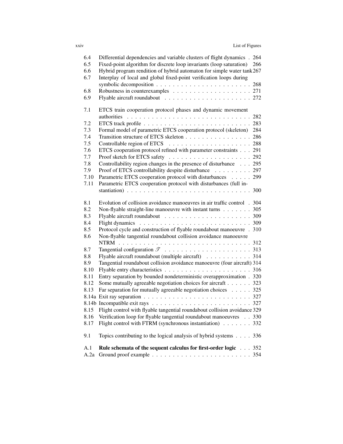| 6.4  | Differential dependencies and variable clusters of flight dynamics . 264                           |
|------|----------------------------------------------------------------------------------------------------|
| 6.5  | Fixed-point algorithm for discrete loop invariants (loop saturation)<br>266                        |
| 6.6  | Hybrid program rendition of hybrid automaton for simple water tank 267                             |
| 6.7  | Interplay of local and global fixed-point verification loops during                                |
|      |                                                                                                    |
| 6.8  |                                                                                                    |
| 6.9  |                                                                                                    |
|      |                                                                                                    |
| 7.1  | ETCS train cooperation protocol phases and dynamic movement                                        |
|      |                                                                                                    |
| 7.2  |                                                                                                    |
| 7.3  | Formal model of parametric ETCS cooperation protocol (skeleton)<br>284                             |
| 7.4  | Transition structure of ETCS skeleton 286                                                          |
| 7.5  |                                                                                                    |
| 7.6  | ETCS cooperation protocol refined with parameter constraints 291                                   |
| 7.7  |                                                                                                    |
| 7.8  | Controllability region changes in the presence of disturbance 295                                  |
| 7.9  | Proof of ETCS controllability despite disturbance 297                                              |
| 7.10 | Parametric ETCS cooperation protocol with disturbances 299                                         |
| 7.11 | Parametric ETCS cooperation protocol with disturbances (full in-                                   |
|      |                                                                                                    |
| 8.1  | Evolution of collision avoidance manoeuvres in air traffic control . 304                           |
| 8.2  | Non-flyable straight-line manoeuvre with instant turns 305                                         |
| 8.3  |                                                                                                    |
| 8.4  | Flight dynamics $\ldots \ldots \ldots \ldots \ldots \ldots \ldots \ldots \ldots \ldots \ldots 309$ |
| 8.5  | Protocol cycle and construction of flyable roundabout manoeuvre . 310                              |
| 8.6  | Non-flyable tangential roundabout collision avoidance manoeuvre                                    |
|      |                                                                                                    |
| 8.7  |                                                                                                    |
| 8.8  | Flyable aircraft roundabout (multiple aircraft) 314                                                |
| 8.9  | Tangential roundabout collision avoidance manoeuvre (four aircraft) 314                            |
| 8.10 |                                                                                                    |
| 8.11 | Entry separation by bounded nondeterministic overapproximation . 320                               |
| 8.12 | Some mutually agreeable negotiation choices for aircraft 323                                       |
| 8.13 | Far separation for mutually agreeable negotiation choices $\ldots$ 325                             |
|      |                                                                                                    |
|      |                                                                                                    |
| 8.15 | Flight control with flyable tangential roundabout collision avoidance 329                          |
| 8.16 | Verification loop for flyable tangential roundabout manoeuvres 330                                 |
| 8.17 | Flight control with FTRM (synchronous instantiation) 332                                           |
|      |                                                                                                    |
| 9.1  | Topics contributing to the logical analysis of hybrid systems 336                                  |
| A.1  | Rule schemata of the sequent calculus for first-order logic 352                                    |
| A.2a |                                                                                                    |
|      |                                                                                                    |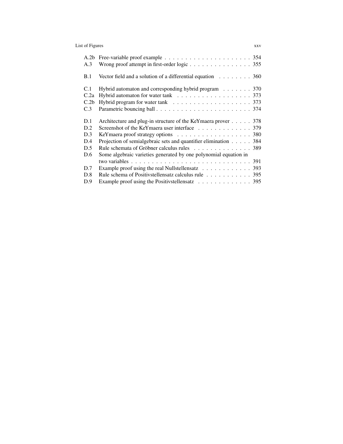## List of Figures xxv

| A.2b<br>A.3                            | Wrong proof attempt in first-order logic 355                                      |
|----------------------------------------|-----------------------------------------------------------------------------------|
| B.1                                    | Vector field and a solution of a differential equation $\ldots \ldots \ldots$ 360 |
| C.1<br>C.2a<br>C.2 <sub>b</sub><br>C.3 | Hybrid automaton and corresponding hybrid program $\ldots \ldots$ . 370           |
| D.1                                    | Architecture and plug-in structure of the KeYmaera prover<br>378                  |
| D.2                                    | Screenshot of the KeYmaera user interface 379                                     |
| D.3                                    | KeYmaera proof strategy options 380                                               |
| D.4                                    |                                                                                   |
|                                        | Projection of semialgebraic sets and quantifier elimination 384                   |
| D.5                                    | Rule schemata of Gröbner calculus rules 389                                       |
| D.6                                    | Some algebraic varieties generated by one polynomial equation in                  |
|                                        |                                                                                   |
| D.7                                    | Example proof using the real Nullstellensatz 393                                  |
| D.8                                    | Rule schema of Positivstellensatz calculus rule 395                               |
| D.9                                    | Example proof using the Positivstellensatz 395                                    |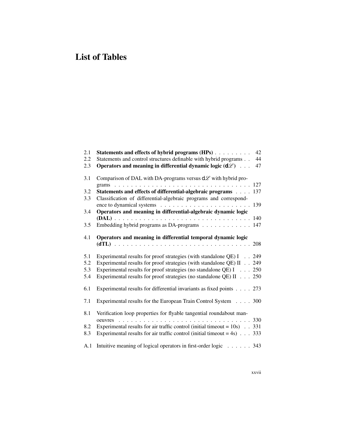## List of Tables

| 2.1<br>2.2 | Statements and effects of hybrid programs (HPs)<br>42<br>Statements and control structures definable with hybrid programs<br>44 |
|------------|---------------------------------------------------------------------------------------------------------------------------------|
| 2.3        | Operators and meaning in differential dynamic logic $(d\mathcal{L})$<br>47                                                      |
| 3.1        | Comparison of DAL with DA-programs versus $d\mathcal{L}$ with hybrid pro-                                                       |
| 3.2        | Statements and effects of differential-algebraic programs 137                                                                   |
| 3.3        | Classification of differential-algebraic programs and correspond-                                                               |
|            |                                                                                                                                 |
| 3.4        | Operators and meaning in differential-algebraic dynamic logic                                                                   |
|            |                                                                                                                                 |
| 3.5        | Embedding hybrid programs as DA-programs 147                                                                                    |
| 4.1        | Operators and meaning in differential temporal dynamic logic                                                                    |
| 5.1        | Experimental results for proof strategies (with standalone QE) I 249                                                            |
| 5.2        | Experimental results for proof strategies (with standalone QE) II 249                                                           |
| 5.3        | Experimental results for proof strategies (no standalone QE) $I \dots 250$                                                      |
| 5.4        | Experimental results for proof strategies (no standalone QE) II 250                                                             |
| 6.1        | Experimental results for differential invariants as fixed points 273                                                            |
| 7.1        | Experimental results for the European Train Control System 300                                                                  |
| 8.1        | Verification loop properties for flyable tangential roundabout man-<br>oeuvres                                                  |
| 8.2        | Experimental results for air traffic control (initial timeout = $10s$ ) 331                                                     |
| 8.3        | Experimental results for air traffic control (initial timeout = $4s$ ) $\ldots$ 333                                             |
| A.1        | Intuitive meaning of logical operators in first-order logic 343                                                                 |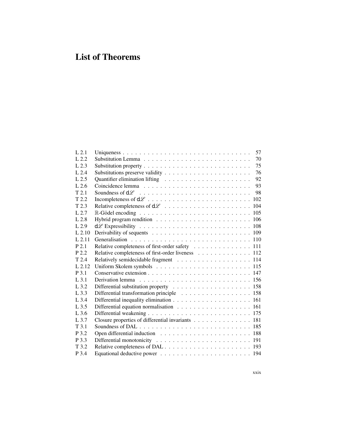# List of Theorems

| 57                                                |
|---------------------------------------------------|
| 70                                                |
| 75                                                |
| 76                                                |
| 92                                                |
| 93                                                |
| 98                                                |
|                                                   |
|                                                   |
|                                                   |
|                                                   |
|                                                   |
|                                                   |
|                                                   |
| Relative completeness of first-order safety 111   |
| Relative completeness of first-order liveness 112 |
| Relatively semidecidable fragment 114             |
|                                                   |
|                                                   |
|                                                   |
|                                                   |
| Differential transformation principle 158         |
|                                                   |
| Differential equation normalisation 161           |
|                                                   |
| Closure properties of differential invariants 181 |
|                                                   |
|                                                   |
|                                                   |
|                                                   |
|                                                   |
|                                                   |